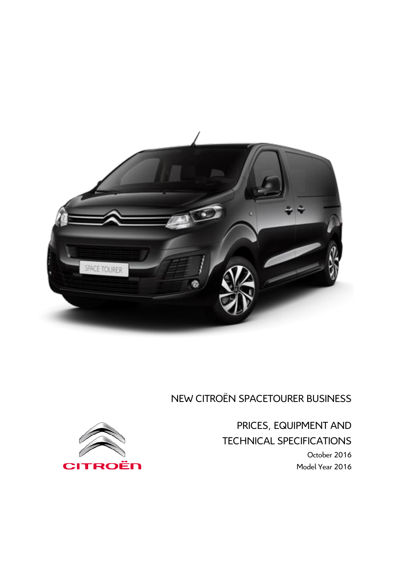

# NEW CITROËN SPACETOURER BUSINESS

PRICES, EQUIPMENT AND TECHNICAL SPECIFICATIONS October 2016 Model Year 2016

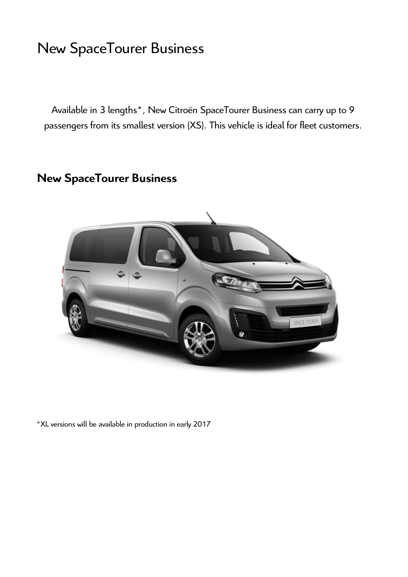# New SpaceTourer Business

Available in 3 lengths\*, New Citroën SpaceTourer Business can carry up to 9 passengers from its smallest version (XS). This vehicle is ideal for fleet customers.

# **New SpaceTourer Business**



\*XL versions will be available in production in early 2017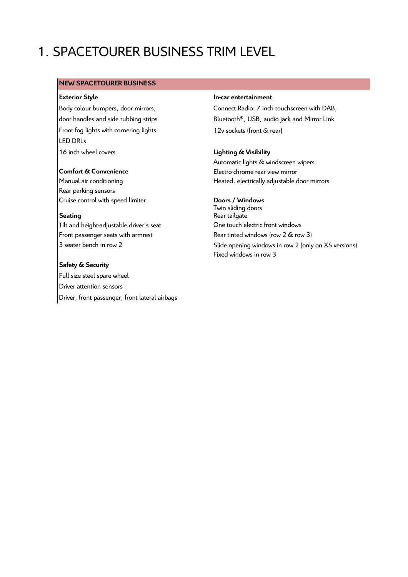# 1. SPACETOURER BUSINESS TRIM LEVEL

## **NEW SPACETOURER BUSINESS**

Body colour bumpers, door mirrors, door handles and side rubbing strips Front fog lights with cornering lights 12v sockets (front & rear) LED DRLs 16 inch wheel covers **Lighting & Visibility**

Rear parking sensors Cruise control with speed limiter **Doors / Windows**

Tilt and height-adjustable driver's seat **One touch electric front windows** Front passenger seats with armrest Rear tinted windows (row 2 & row 3)

**Safety & Security** Full size steel spare wheel Driver attention sensors Driver, front passenger, front lateral airbags

## **Exterior Style In-car entertainment**

Connect Radio: 7 inch touchscreen with DAB, Bluetooth®, USB, audio jack and Mirror Link

Automatic lights & windscreen wipers **Comfort & Convenience Electro-chrome rear view mirror** Manual air conditioning **Heated, electrically adjustable door mirrors** 

Twin sliding doors **Seating** Rear tailgate 3-seater bench in row 2 and the Slide opening windows in row 2 (only on XS versions) Fixed windows in row 3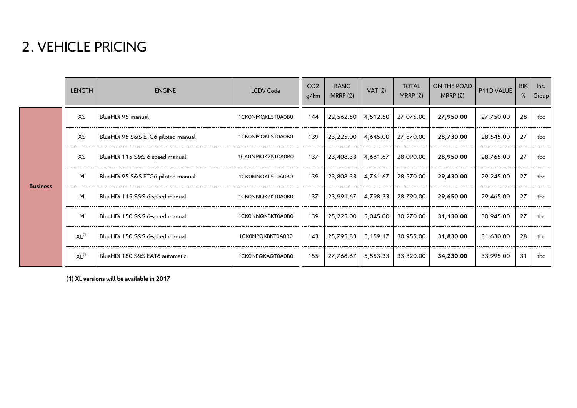# 2. VEHICLE PRICING

|                 | <b>LENGTH</b> | <b>ENGINE</b>                      | <b>LCDV Code</b> | CO <sub>2</sub><br>g/km | <b>BASIC</b><br>MRRP(E) | $VAT$ $(E)$ | <b>TOTAL</b><br>$MRRP$ (£) | ON THE ROAD<br>MRRP(f) | P11D VALUE | <b>BIK</b><br>% | lns.<br>Group |
|-----------------|---------------|------------------------------------|------------------|-------------------------|-------------------------|-------------|----------------------------|------------------------|------------|-----------------|---------------|
| <b>Business</b> | <b>XS</b>     | BlueHDi 95 manual                  | 1CK0NMQKL5T0A0B0 | 144                     | 22,562.50               | 4,512.50    | 27,075.00                  | 27,950.00              | 27,750.00  | 28              | tbc           |
|                 | XS            | BlueHDi 95 S&S ETG6 piloted manual | 1CK0NMQKLST0A0B0 | 139                     | 23,225.00               | 4,645.00    | 27,870.00                  | 28,730.00              | 28,545.00  | 27              | tbc           |
|                 | XS            | BlueHDi 115 S&S 6-speed manual     | 1CK0NMQKZKT0A0B0 | 137                     | 23,408.33               | 4,681.67    | 28,090.00                  | 28,950.00              | 28,765.00  | 27              | tbc           |
|                 | M             | BlueHDi 95 S&S ETG6 piloted manual | 1CK0NNQKLST0A0B0 | 139                     | 23,808.33               | 4,761.67    | 28,570.00                  | 29,430.00              | 29,245.00  | 27              | tbc           |
|                 | M             | BlueHDi 115 S&S 6-speed manual     | 1CK0NNQKZKT0A0B0 | 137                     | 23,991.67               | 4,798.33    | 28,790.00                  | 29,650.00              | 29,465.00  | 27              | tbc           |
|                 | M             | BlueHDi 150 S&S 6-speed manual     | 1CK0NNQKBKT0A0B0 | 139                     | 25,225.00               | 5,045.00    | 30,270.00                  | 31,130.00              | 30,945.00  | 27              | tbc           |
|                 | $XL^{(1)}$    | BlueHDi 150 S&S 6-speed manual     | 1CK0NPQKBKT0A0B0 | 143                     | 25,795.83               | 5.159.17    | 30,955.00                  | 31,830.00              | 31,630.00  | 28              | tbc           |
|                 | $XL^{(1)}$    | BlueHDi 180 S&S FAT6 automatic     | 1CK0NPQKAQT0A0B0 | 155                     | 27,766.67               | 5,553.33    | 33,320.00                  | 34,230.00              | 33,995.00  | 31              | tbc           |

**(1) XL versions will be available in 2017**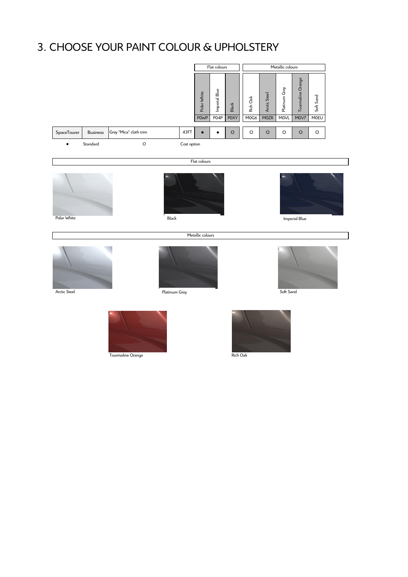# 3. CHOOSE YOUR PAINT COLOUR & UPHOLSTERY

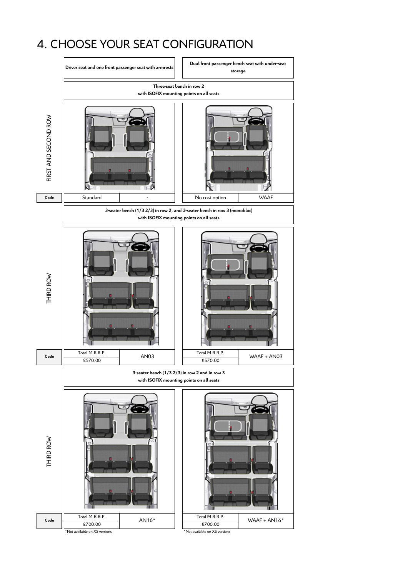# 4. CHOOSE YOUR SEAT CONFIGURATION



\*Not available on XS versions \*Not available on XS versions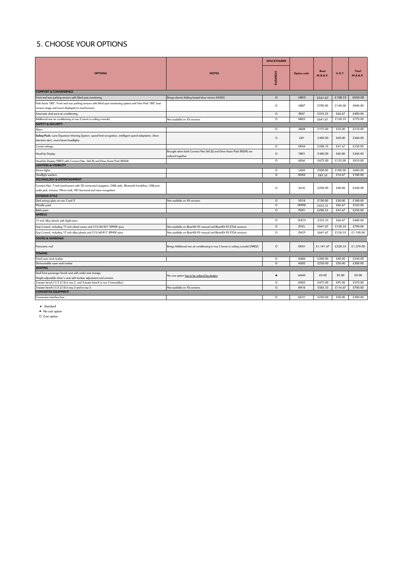## 5. CHOOSE YOUR OPTIONS

|                                                                                                                                                                                    |                                                                                           | <b>SPACETOURER</b> |                  |                          |               |                          |
|------------------------------------------------------------------------------------------------------------------------------------------------------------------------------------|-------------------------------------------------------------------------------------------|--------------------|------------------|--------------------------|---------------|--------------------------|
| <b>OPTIONS</b>                                                                                                                                                                     | <b>NOTES</b>                                                                              | <b>BUSINESS</b>    | Option code      | <b>Basic</b><br>M.R.R.P. | <b>V.A.T.</b> | <b>Total</b><br>M.R.R.P. |
| <b>COMFORT &amp; CONVENIENCE</b>                                                                                                                                                   |                                                                                           |                    |                  |                          |               |                          |
| Front and rear parking sensors with blind spot monitoring                                                                                                                          | Brings electric folding heated door mirrors (HUO2)                                        | $\circ$            | UB03             | £541.67                  | £108.33       | £650.00                  |
| Park Assist 180°: Front and rear parking sensors with blind spot monitoring system and Visio Park 180° (rear<br>camera image and zoom displayed on touchscreen)                    |                                                                                           | $\circ$            | <b>UB07</b>      | £700.00                  | £140.00       | £840.00                  |
| Automatic dual zone air conditioning                                                                                                                                               |                                                                                           | $\circ$            | REO7             | £333.33                  | £66.67        | £400.00                  |
| Additional rear air conditioning in row 2 (vents in ceiling console)                                                                                                               | Not available on XS versions                                                              | $\circ$            | NR02             | £641.67                  | £128.33       | £770.00                  |
| <b>SAFETY &amp; SECURITY</b>                                                                                                                                                       |                                                                                           |                    |                  |                          |               |                          |
| Alarm                                                                                                                                                                              |                                                                                           | $\circ$            | AB <sub>08</sub> | £175.00                  | £35.00        | £210.00                  |
| Safety Pack: Lane Departure Warning System, speed limit recognition, intelligent speed adaptation, driver<br>attention alert, smart beam headlights                                |                                                                                           | $\circ$            | <b>LIO1</b>      | £300.00                  | £60.00        | £360.00                  |
| Curtain airbags                                                                                                                                                                    |                                                                                           | $\circ$            | NF04             | £208.33                  | £41.67        | £250.00                  |
| Head-Up Display                                                                                                                                                                    | Brought when both Connect Nav (WL3J) and Drive Assist Pack (RG04) are<br>ordered together | $\circ$            | YBO1             | £300.00                  | £60.00        | £360.00                  |
| Head-Up Display (YBO1) with Connect Nav (WL3J) and Drive Assist Pack (RGO4)                                                                                                        |                                                                                           | $\circ$            | J4SW             | £675.00                  | £135.00       | £810.00                  |
| <b>LIGHTING &amp; VISIBILITY</b>                                                                                                                                                   |                                                                                           |                    |                  |                          |               |                          |
| Xenon lights                                                                                                                                                                       |                                                                                           | $\circ$            | <b>LA04</b>      | £500.00                  | £100.00       | £600.00                  |
| Headlight washers                                                                                                                                                                  |                                                                                           | $\circ$            | <b>ND02</b>      | £83.33                   | £16.67        | £100.00                  |
| <b>TECHNOLOGY &amp; ENTERTAINMENT</b>                                                                                                                                              |                                                                                           |                    |                  |                          |               |                          |
| Connect Nav: 7 inch touchscreen with 3D connected navigation, DAB radio, Bluetooth handsfree, USB port,<br>audio jack, tri-tuner, Mirror Link, HiFi Surround and voice recognition |                                                                                           | $\circ$            | WL3              | £200.00                  | £40.00        | £240.00                  |
| <b>EXTERIOR STYLE</b>                                                                                                                                                              |                                                                                           |                    |                  |                          |               |                          |
| Dark privacy glass on row 2 and 3                                                                                                                                                  | Not available on XS versions                                                              | $\circ$            | <b>VD18</b>      | £150.00                  | £30.00        | £180.00                  |
| Metallic paint                                                                                                                                                                     |                                                                                           | $\circ$            | 0MMO             | £433.33                  | £86.67        | £520.00                  |
| <b>Balck paint</b>                                                                                                                                                                 |                                                                                           | $\overline{O}$     | <b>POXY</b>      | £208.33                  | £41.67        | £250.00                  |
| <b>WHEELS</b>                                                                                                                                                                      |                                                                                           |                    |                  |                          |               |                          |
| 17 inch alloy wheels with Agilis tyres                                                                                                                                             |                                                                                           | $\circ$            | ZHCN             | £333.33                  | £66.67        | £400.00                  |
| Grip Control, including 17 inch wheel covers and 215/60 R17 3PMSF tyres                                                                                                            | Not available on BlueHDi 95 manual and BlueHDi 95 ETG6 versions                           | $\circ$            | ZHCL             | £641.67                  | £128.33       | £790.00                  |
| Grip Control, including 17 inch alloy wheels and 215/60 R17 3PMSF tyres                                                                                                            | Not available on BlueHDi 95 manual and BlueHDi 95 ETG6 versions                           | $\circ$            | ZHCP             | £641.67                  | £128.33       | £1,190.00                |
| <b>DOORS &amp; WINDOWS</b>                                                                                                                                                         |                                                                                           |                    |                  |                          |               |                          |
| Panoramic roof                                                                                                                                                                     | Brings Additional rear air conditioning in row 2 (vents in ceiling console) (NRO2)        | $\circ$            | OK01             | £1,141.67                | £228.33       | £1,370.00                |
| <b>TOWING</b>                                                                                                                                                                      |                                                                                           |                    |                  |                          |               |                          |
| Fixed swan neck towbar                                                                                                                                                             |                                                                                           | $\circ$            | AQ06             | £200.00                  | £40.00        | £240.00                  |
| Demountable swan neck towbar                                                                                                                                                       |                                                                                           | $\circ$            | AQ05             | £250.00                  | £50.00        | £300.00                  |
| <b>SEATING</b>                                                                                                                                                                     |                                                                                           |                    |                  |                          |               |                          |
| Dual front passenger bench seat with under-seat storage.                                                                                                                           | No cost option has to be ordered by dealers                                               | $\blacktriangle$   | WAAF             | £0.00                    | £0.00         | £0.00                    |
| Height adjustable driver's seat with lumbar adjustment and armrest.                                                                                                                |                                                                                           |                    |                  |                          |               |                          |
| 3-seater bench (1/3 2/3) in row 2, and 3-seater bench in row 3 (monobloc)                                                                                                          |                                                                                           | $\circ$            | AN03             | £475.00                  | £95.00        | £570.00                  |
| 3-seater bench (1/3 2/3) in row 2 and in row 3<br><b>CONVERTER EQUIPMENT</b>                                                                                                       | Not available on XS versions                                                              | $\circ$            | AN16             | £583.33                  | £116.67       | £700.00                  |
|                                                                                                                                                                                    |                                                                                           | $\overline{\circ}$ |                  |                          |               |                          |
| Conversion interface box                                                                                                                                                           |                                                                                           |                    | QC01             | £250.00                  | £50.00        | £300.00                  |

● Standard<br>▲ No cost option<br>○ Cost option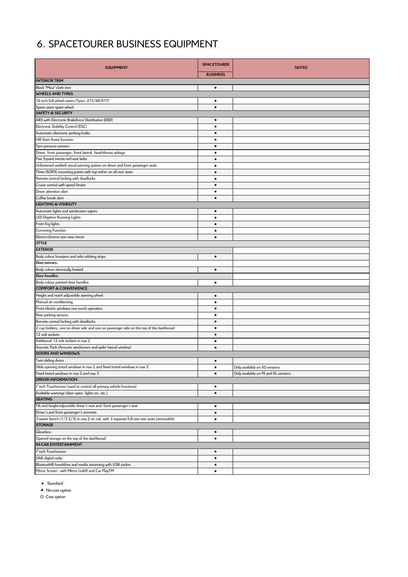## 6. SPACETOURER BUSINESS EQUIPMENT

| <b>EQUIPMENT</b>                                                                            | <b>SPACETOURER</b>     | <b>NOTES</b>                                                         |  |  |
|---------------------------------------------------------------------------------------------|------------------------|----------------------------------------------------------------------|--|--|
|                                                                                             | <b>BUSINESS</b>        |                                                                      |  |  |
| <b>INTERIOR TRIM</b>                                                                        |                        |                                                                      |  |  |
| Black "Mica" cloth trim                                                                     | $\bullet$              |                                                                      |  |  |
| <b>WHEELS AND TYRES</b>                                                                     |                        |                                                                      |  |  |
| 16 inch full wheel covers (Tyres: 215/60 R17)                                               | $\bullet$              |                                                                      |  |  |
| Space saver spare wheel                                                                     | $\bullet$              |                                                                      |  |  |
| <b>SAFETY &amp; SECURITY</b>                                                                |                        |                                                                      |  |  |
| ABS with Electronic Brakeforce Distribution (EBD)                                           | $\bullet$              |                                                                      |  |  |
| Electronic Stability Control (ESC)                                                          | $\bullet$              |                                                                      |  |  |
| Automatic electronic parking brake                                                          | $\bullet$              |                                                                      |  |  |
| Hill Start Assist function                                                                  | ٠                      |                                                                      |  |  |
| Tyre pressure sensors                                                                       | $\bullet$              |                                                                      |  |  |
| Driver, front passenger, front lateral, head-thorax airbags                                 | ٠                      |                                                                      |  |  |
| Five 3-point inertia reel seat belts                                                        | $\bullet$              |                                                                      |  |  |
| Unfastened seatbelt visual warning system on driver and front passenger seats               | $\bullet$              |                                                                      |  |  |
| Three ISOFIX mounting points with top tether on all rear seats                              | $\bullet$              |                                                                      |  |  |
| Remote central locking with deadlocks                                                       | $\bullet$              |                                                                      |  |  |
| Cruise control with speed limiter                                                           | $\bullet$              |                                                                      |  |  |
| Driver attention alert                                                                      | ٠                      |                                                                      |  |  |
| Coffee break alert                                                                          | $\bullet$              |                                                                      |  |  |
| <b>LIGHTING &amp; VISIBILITY</b>                                                            |                        |                                                                      |  |  |
| Automatic lights and windscreen wipers                                                      | $\bullet$              |                                                                      |  |  |
| LED Daytime Running Lights                                                                  | $\bullet$              |                                                                      |  |  |
| Front fog lights                                                                            | $\bullet$              |                                                                      |  |  |
| Cornering Function                                                                          | $\bullet$              |                                                                      |  |  |
| Electro-chrome rear view mirror                                                             | $\bullet$              |                                                                      |  |  |
| <b>STYLE</b>                                                                                |                        |                                                                      |  |  |
| <b>EXTERIOR</b>                                                                             |                        |                                                                      |  |  |
| Body colour bumpers and side rubbing strips                                                 | $\bullet$              |                                                                      |  |  |
| Door mirrors:                                                                               |                        |                                                                      |  |  |
| Body colour electrically heated                                                             | $\bullet$              |                                                                      |  |  |
| Door handles:                                                                               |                        |                                                                      |  |  |
| Body colour painted door handles<br><b>COMFORT &amp; CONVENIENCE</b>                        | $\bullet$              |                                                                      |  |  |
|                                                                                             |                        |                                                                      |  |  |
| Height and reach adjustable steering wheel<br>Manual air conditioning                       | $\bullet$<br>$\bullet$ |                                                                      |  |  |
| Front electric windows one touch operation                                                  | $\bullet$              |                                                                      |  |  |
| Rear parking sensors                                                                        | $\bullet$              |                                                                      |  |  |
| Remote central locking with deadlocks                                                       | $\bullet$              |                                                                      |  |  |
| 2 cup holders, one on driver side and one on passenger side on the top of the dashborad     | $\bullet$              |                                                                      |  |  |
| 12 volt sockets                                                                             | $\bullet$              |                                                                      |  |  |
| Additional 12 volt sockets in row 2                                                         | ٠                      |                                                                      |  |  |
| Acoustic Pack (Acoustic windscreen and wider lateral window)                                | $\bullet$              |                                                                      |  |  |
| <b>DOORS AND WINDOWS</b>                                                                    |                        |                                                                      |  |  |
| Twin sliding doors                                                                          | $\bullet$              |                                                                      |  |  |
| Slide opening tinted windows in row 2 and fixed tinted windows in row 3                     | $\bullet$              |                                                                      |  |  |
| Fixed tinted windows in row 2 and row 3                                                     | $\bullet$              | Only available on XS versions<br>Only available on M and XL versions |  |  |
| <b>DRIVER INFORMATION</b>                                                                   |                        |                                                                      |  |  |
| Inch Touchscreen (used to control all primary vehicle functions)                            | $\bullet$              |                                                                      |  |  |
| Audiable warnings (door open, lights on, etc.)                                              | $\bullet$              |                                                                      |  |  |
| <b>SEATING</b>                                                                              |                        |                                                                      |  |  |
| Tilt and height-adjustable driver's seat and front passenger's seat                         | $\bullet$              |                                                                      |  |  |
| Driver's and front passenger's armrests                                                     | $\bullet$              |                                                                      |  |  |
| 3-seater bench (1/3 2/3) in row 2 on rail, with 3 separate full size rear seats (removable) | $\bullet$              |                                                                      |  |  |
| <b>STORAGE</b>                                                                              |                        |                                                                      |  |  |
| Glovebox                                                                                    | $\bullet$              |                                                                      |  |  |
| Opened storage on the top of the dashborad                                                  | $\bullet$              |                                                                      |  |  |
| <b>IN-CAR ENTERTAINMENT</b>                                                                 |                        |                                                                      |  |  |
| 7 inch Touchscreen                                                                          | $\bullet$              |                                                                      |  |  |
| DAB digital radio                                                                           | $\bullet$              |                                                                      |  |  |
| Bluetooth® handsfree and media streaming with USB socket                                    | $\bullet$              |                                                                      |  |  |
| Mirror Screen - with Mirror Link® and Car PlayTM                                            | $\bullet$              |                                                                      |  |  |
|                                                                                             |                        |                                                                      |  |  |

● Standard

▲ No cost option

O Cost option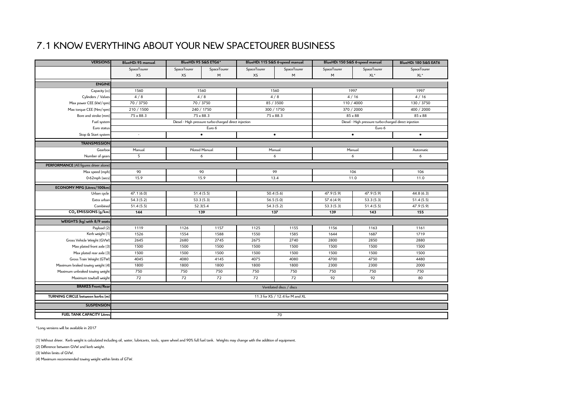## 7.1 KNOW EVERYTHING ABOUT YOUR NEW SPACETOURER BUSINESS

| <b>VERSIONS</b>                        | <b>BlueHDi 95 manual</b>        | BlueHDi 95 S&S ETG6* |                                                       | BlueHDi 115 S&S 6-speed manual |              | BlueHDi 150 S&S 6-speed manual |                                                       | BlueHDi 180 S&S EAT6 |  |
|----------------------------------------|---------------------------------|----------------------|-------------------------------------------------------|--------------------------------|--------------|--------------------------------|-------------------------------------------------------|----------------------|--|
|                                        | SpaceTourer                     | SpaceTourer          | SpaceTourer                                           | SpaceTourer                    | SpaceTourer  | SpaceTourer                    | SpaceTourer                                           | SpaceTourer          |  |
|                                        | XS                              | XS                   | M                                                     | XS                             | M            | M                              | XL*                                                   | XL*                  |  |
| <b>ENGINE</b>                          |                                 |                      |                                                       |                                |              |                                |                                                       |                      |  |
| Capacity (cc)                          | 1560<br>1560                    |                      | 1560                                                  |                                | 1997         |                                | 1997                                                  |                      |  |
| Cylinders / Valves                     | 4/8                             |                      | 4/8                                                   |                                | 4/8          |                                | 4/16                                                  | 4/16                 |  |
| Max power CEE (kW/rpm)                 | 70 / 3750                       |                      | 70 / 3750                                             | 85 / 3500                      |              | 110 / 4000                     |                                                       | 130 / 3750           |  |
| Max torque CEE (Nm/rpm)                | 210 / 1500                      |                      | 240 / 1750                                            |                                | 300 / 1750   |                                | 370 / 2000                                            | 400 / 2000           |  |
| Bore and stroke (mm)                   | $75 \times 88.3$                |                      | $75 \times 88.3$                                      | $75 \times 88.3$               |              | $85 \times 88$                 |                                                       | $85 \times 88$       |  |
| Fuel system                            |                                 |                      | Diesel - High pressure turbo-charged direct injection |                                |              |                                | Diesel - High pressure turbo-charged direct injection |                      |  |
| Euro status                            |                                 |                      | Euro 6                                                |                                |              |                                | Euro 6                                                |                      |  |
| Stop & Start system                    | $\sim$                          |                      | $\bullet$                                             |                                | $\bullet$    |                                | $\bullet$                                             | $\bullet$            |  |
| <b>TRANSMISSION</b>                    |                                 |                      |                                                       |                                |              |                                |                                                       |                      |  |
| Gearbox                                | Manual                          |                      | Piloted Manual                                        |                                | Manual       |                                | Manual                                                | Automatic            |  |
| Number of gears                        | 5                               |                      | 6                                                     |                                | 6            |                                | 6                                                     | 6                    |  |
| PERFORMANCE (All figures driver alone) |                                 |                      |                                                       |                                |              |                                |                                                       |                      |  |
| Max speed (mph)                        | 90                              | 90                   |                                                       | 99                             |              | 106                            |                                                       | 106                  |  |
| 0-62mph (secs)                         | 15.9                            | 15.9                 |                                                       | 13.4                           |              | 11.0                           |                                                       | 11.0                 |  |
|                                        |                                 |                      |                                                       |                                |              |                                |                                                       |                      |  |
| ECONOMY MPG (Litres/100km)             |                                 |                      |                                                       |                                |              |                                |                                                       |                      |  |
| Urban cycle                            | 47.1(6.0)                       |                      | 51.4(5.5)                                             | 50.4(5.6)                      |              | 47.9 (5.9)                     | 47.9 (5.9)                                            | 44.8(6.3)            |  |
| Extra urban                            | 54.3(5.2)                       |                      | 53.3(5.3)                                             | 56.5(5.0)                      |              | 57.6 (4.9)                     | 53.3(5.3)                                             | 51.4(5.5)            |  |
| Combined                               | 51.4(5.5)                       |                      | 52.3(5.4                                              | 54.3(5.2)<br>137               |              | 53.3(5.3)                      | 51.4(5.5)                                             | 47.9 (5.9)           |  |
| CO <sub>2</sub> EMISSIONS (g/km)       | 144                             |                      | 139                                                   |                                |              | 139                            | 143                                                   | 155                  |  |
| WEIGHTS (kg) with 8/9 seats            |                                 |                      |                                                       |                                |              |                                |                                                       |                      |  |
| Payload (2)                            | 1119                            | 1126                 | 1157                                                  | 1125                           | 1155         | 1156                           | 1163                                                  | 1161                 |  |
| Kerb weight (1)                        | 1526                            | 1554                 | 1588                                                  | 1550                           | 1585         | 1644                           | 1687                                                  | 1719                 |  |
| Gross Vehicle Weight (GVW)             | 2645                            | 2680                 | 2745                                                  | 2675                           | 2740         | 2800                           | 2850                                                  | 2880                 |  |
| Max plated front axle (3)              | 1500                            | 1500                 | 1500                                                  | 1500                           | 1500         | 1500                           | 1500                                                  | 1500                 |  |
| Max plated rear axle (3)               | 1500                            | 1500                 | 1500                                                  | 1500                           | 1500         | 1500                           | 1500                                                  | 1500                 |  |
| Gross Train Weight (GTW)               | 4045                            | 4080                 | 4145                                                  | 4075                           | 4080         | 4700                           | 4750                                                  | 4480                 |  |
| Maximum braked towing weight (4)       | 1800                            | 1800                 | 1800                                                  |                                | 1800<br>1800 |                                | 2300                                                  | 2000                 |  |
| Maximum unbraked towing weight         | 750                             | 750<br>750           |                                                       | 750                            | 750          | 750                            | 750                                                   | 750                  |  |
| Maximum towball weight                 | 72                              | 72                   | 72                                                    | 72<br>72                       |              | 92<br>92                       |                                                       | 80                   |  |
| <b>BRAKES Front/Rear</b>               | Ventilated discs / discs        |                      |                                                       |                                |              |                                |                                                       |                      |  |
| TURNING CIRCLE between kerbs (m)       | 11.3 for XS / 12.4 for M and XL |                      |                                                       |                                |              |                                |                                                       |                      |  |
| <b>SUSPENSION</b>                      |                                 |                      |                                                       |                                |              |                                |                                                       |                      |  |
|                                        |                                 |                      |                                                       |                                |              |                                |                                                       |                      |  |
| <b>FUEL TANK CAPACITY Litres</b>       |                                 |                      |                                                       |                                | 70           |                                |                                                       |                      |  |

\*Long versions will be available in 2017

(1) Without driver. Kerb weight is calculated including oil, water, lubricants, tools, spare wheel and 90% full fuel tank. Weights may change with the addition of equipment.

(2) Difference between GVW and kerb weight.

(3) Within limits of GVW.

(4) Maximum recommended towing weight within limits of GTW.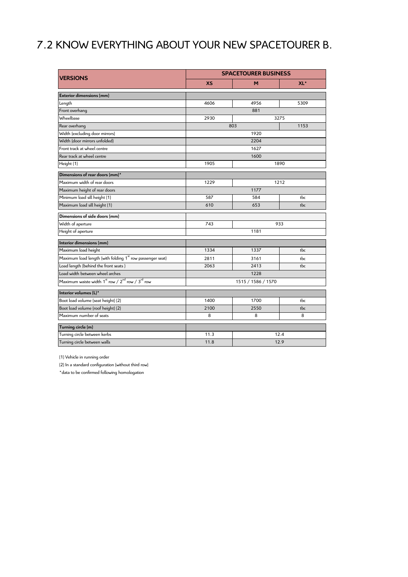# 7.2 KNOW EVERYTHING ABOUT YOUR NEW SPACETOURER B.

| <b>VERSIONS</b>                                                                      | <b>SPACETOURER BUSINESS</b> |      |                 |  |  |  |
|--------------------------------------------------------------------------------------|-----------------------------|------|-----------------|--|--|--|
|                                                                                      | <b>XS</b>                   | м    | XL <sup>*</sup> |  |  |  |
| <b>Exterior dimensions (mm)</b>                                                      |                             |      |                 |  |  |  |
| Length                                                                               | 4606                        | 4956 | 5309            |  |  |  |
| Front overhang                                                                       |                             | 881  |                 |  |  |  |
| Wheelbase                                                                            | 2930                        | 3275 |                 |  |  |  |
| Rear overhang                                                                        |                             | 803  | 1153            |  |  |  |
| Width (excluding door mirrors)                                                       |                             | 1920 |                 |  |  |  |
| Width (door mirrors unfolded)                                                        |                             | 2204 |                 |  |  |  |
| Front track at wheel centre                                                          |                             | 1627 |                 |  |  |  |
| Rear track at wheel centre                                                           |                             | 1600 |                 |  |  |  |
| Height (1)                                                                           | 1905                        |      | 1890            |  |  |  |
| Dimensions of rear doors (mm)*                                                       |                             |      |                 |  |  |  |
| Maximum width of rear doors                                                          | 1229                        |      | 1212            |  |  |  |
| Maximum height of rear doors                                                         | 1177                        |      |                 |  |  |  |
| Minimum load sill height (1)                                                         | 587                         | 584  | tbc             |  |  |  |
| Maximum load sill height (1)                                                         | 610                         | 653  | tbc             |  |  |  |
| Dimensions of side doors (mm)                                                        |                             |      |                 |  |  |  |
| Width of aperture                                                                    | 743                         |      | 933             |  |  |  |
| Height of aperture                                                                   |                             | 1181 |                 |  |  |  |
| Interior dimensions (mm)                                                             |                             |      |                 |  |  |  |
| Maximum load height                                                                  | 1334                        | 1337 | tbc             |  |  |  |
| Maximum load length (with folding 1 <sup>st</sup> row passenger seat)                | 2811                        | 3161 | tbc             |  |  |  |
| Load length (behind the front seats)                                                 | 2063                        | 2413 | tbc             |  |  |  |
| Load width between wheel arches                                                      | 1228                        |      |                 |  |  |  |
| Maximum waiste width 1 <sup>st</sup> row / 2 <sup>nd</sup> row / 3 <sup>rd</sup> row | 1515 / 1586 / 1570          |      |                 |  |  |  |
| Interior volumes (L)*                                                                |                             |      |                 |  |  |  |
| Boot load volume (seat height) (2)                                                   | 1400                        | 1700 | tbc             |  |  |  |
| Boot load volume (roof height) (2)                                                   | 2100                        | 2550 | tbc             |  |  |  |
| Maximum number of seats                                                              | 8                           | 8    | 8               |  |  |  |
| Turning circle (m)                                                                   |                             |      |                 |  |  |  |
| Turning circle between kerbs                                                         | 11.3                        |      | 12.4            |  |  |  |
| Turning circle between walls                                                         | 11.8                        |      | 12.9            |  |  |  |

(1) Vehicle in running order

(2) In a standard configuration (without third row)

\*data to be confirmed following homologation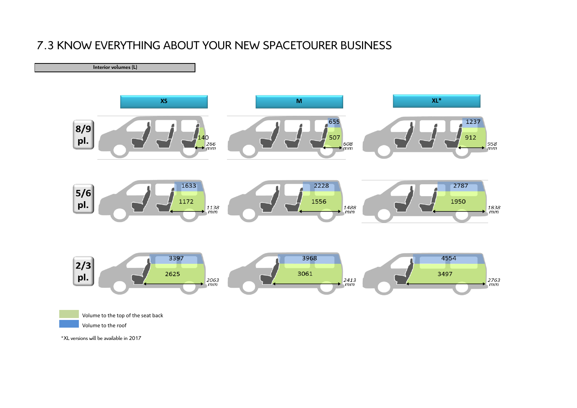## 7.3 KNOW EVERYTHING ABOUT YOUR NEW SPACETOURER BUSINESS



\*XL versions will be available in 2017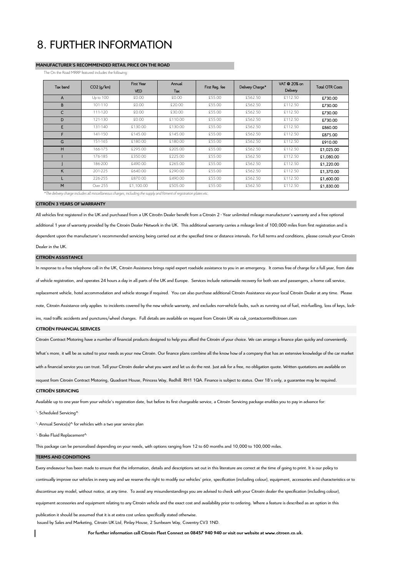## 8. FURTHER INFORMATION

## **MANUFACTURER'S RECOMMENDED RETAIL PRICE ON THE ROAD**

The On the Road MRRP featured includes the following:

| Tax band | $CO2$ ( $q/km$ ) | First Year<br><b>VED</b> | Annual<br>Tax | First Req. fee | Delivery Charge* | VAT @ 20% on<br>Delivery | <b>Total OTR Costs</b> |
|----------|------------------|--------------------------|---------------|----------------|------------------|--------------------------|------------------------|
| A        | Up to 100        | 00.02                    | £0.00         | £55.00         | £562.50          | £112.50                  | £730.00                |
| B        | 101-110          | 00.02                    | £20.00        | £55.00         | £562.50          | £112.50                  | £730.00                |
| C        | 111-120          | 00.02                    | £30.00        | £55.00         | £562.50          | £112.50                  | £730.00                |
| D        | 121-130          | 00.02                    | £110.00       | £55.00         | £562.50          | £112.50                  | £730.00                |
| E.       | 131-140          | £130.00                  | £130.00       | £55.00         | £562.50          | £112.50                  | £860.00                |
| F.       | 141-150          | £145.00                  | £145.00       | £55.00         | £562.50          | £112.50                  | £875.00                |
| G        | 151-165          | £180.00                  | £180.00       | £55.00         | £562.50          | £112.50                  | £910.00                |
| н        | 166-175          | £295.00                  | £205.00       | £55.00         | £562.50          | £112.50                  | £1,025.00              |
|          | 176-185          | £350.00                  | £225.00       | £55.00         | £562.50          | £112.50                  | \$1,080.00             |
|          | 186-200          | £490.00                  | £265.00       | £55.00         | £562.50          | £112.50                  | £1,220.00              |
| ĸ        | 201-225          | £640.00                  | £290.00       | £55.00         | £562.50          | £112.50                  | £1,370.00              |
|          | 226-255          | £870.00                  | £490.00       | £55.00         | £562.50          | £112.50                  | £1,600.00              |
| M        | Over 255         | £1.100.00                | £505.00       | £55.00         | £562.50          | £112.50                  | £1,830.00              |

*\*The delivery charge includes all miscellaneous charges, including the supply and fitment of registration plates etc.*

## **CITROËN 3 YEARS OF WARRANTY**

All vehicles first registered in the UK and purchased from a UK Citroën Dealer benefit from a Citroën 2 - Year unlimited mileage manufacturer's warranty and a free optional additional 1 year of warranty provided by the Citroën Dealer Network in the UK. This additional warranty carries a mileage limit of 100,000 miles from first registration and is dependent upon the manufacturer's recommended servicing being carried out at the specified time or distance intervals. For full terms and conditions, please consult your Citroën Dealer in the UK.

## **CITROËN ASSISTANCE**

In response to a free telephone call in the UK. Citroën Assistance brings rapid expert roadside assistance to you in an emergency. It comes free of charge for a full year, from date

of vehicle registration, and operates 24 hours a day in all parts of the UK and Europe. Services include nationwide recovery for both van and passengers, a home call service,

replacement vehicle, hotel accommodation and vehicle storage if required. You can also purchase additional Citroën Assistance via your local Citroën Dealer at any time. Please

note, Citroën Assistance only applies to incidents covered by the new vehicle warranty, and excludes non-vehicle faults, such as running out of fuel, mis-fuelling, loss of keys, lock-

ins, road traffic accidents and punctures/wheel changes. Full details are available on request from Citroën UK via cuk\_contactcentre@citroen.com

## **CITROËN FINANCIAL SERVICES**

Citroën Contract Motoring have a number of financial products designed to help you afford the Citroën of your choice. We can arrange a finance plan quicky and conveniently.

What's more, it will be as suited to your needs as your new Citroën. Our finance plans combine all the know how of a company that has an extensive knowledge of the car market

with a financial service you can trust. Tell your Citroën dealer what you want and let us do the rest. Just ask for a free, no obligation quote. Written quotations are available on

request from Citroën Contract Motoring, Quadrant House, Princess Way, Redhill RH1 1QA. Finance is subject to status. Over 18's only, a guarantee may be required.

## **CITROËN SERVICING**

Available up to one year from your vehicle's registration date, but before its first chargeable service, a Citroën Servicing package enables you to pay in advance for:

- '- Scheduled Servicing^
- '- Annual Service(s)^ for vehicles with a two year service plan
- '- Brake Fluid Replacement^

This package can be personalised depending on your needs, with options ranging from 12 to 60 months and 10,000 to 100,000 miles.

## **TERMS AND CONDITIONS**

Every endeavour has been made to ensure that the information, details and descriptions set out in this literature are correct at the time of going to print. It is our policy to continually improve our vehicles in every way and we reserve the right to modify our vehicles' price, specification (including colour), equipment, accessories and characteristics or to discontinue any model, without notice, at any time. To avoid any misunderstandings you are advised to check with your Citroën dealer the specification (including colour), equipment accessories and equipment relating to any Citroën vehicle and the exact cost and availability prior to ordering. Where a feature is described as an option in this publication it should be assumed that it is at extra cost unless specifically stated otherwise.

Issued by Sales and Marketing, Citroën UK Ltd, Pinley House, 2 Sunbeam Way, Coventry CV3 1ND.

**For further information call Citroën Fleet Connect on 08457 940 940 or visit our website at www.citroen.co.uk.**